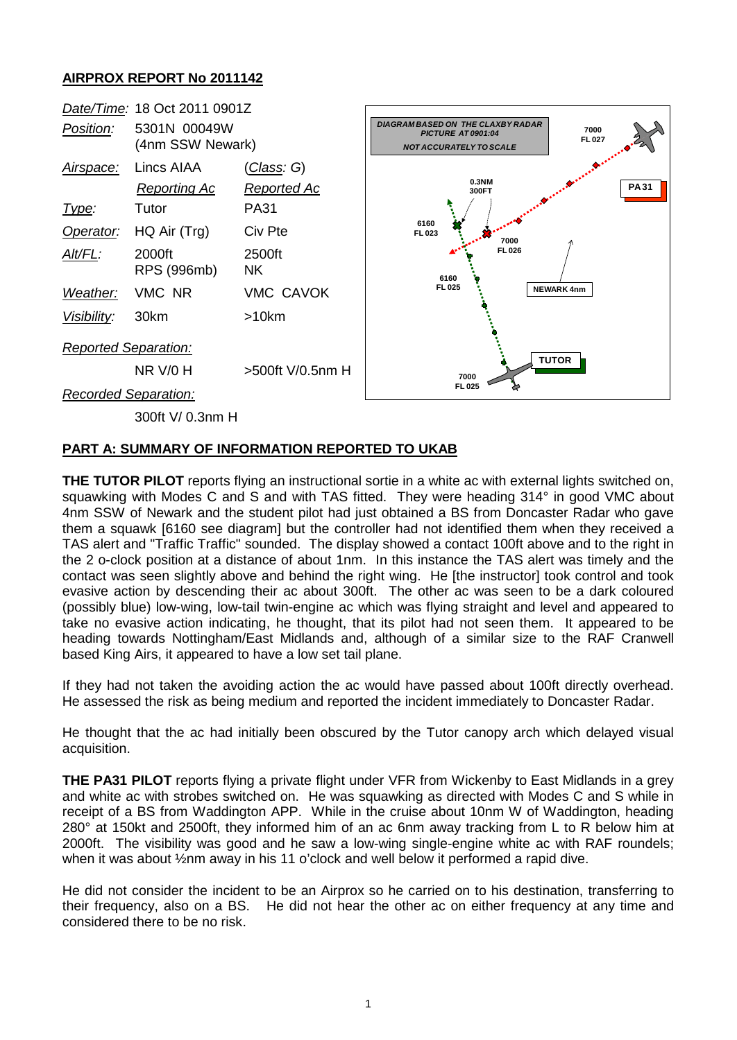## **AIRPROX REPORT No 2011142**



## **PART A: SUMMARY OF INFORMATION REPORTED TO UKAB**

**THE TUTOR PILOT** reports flying an instructional sortie in a white ac with external lights switched on, squawking with Modes C and S and with TAS fitted. They were heading 314° in good VMC about 4nm SSW of Newark and the student pilot had just obtained a BS from Doncaster Radar who gave them a squawk [6160 see diagram] but the controller had not identified them when they received a TAS alert and "Traffic Traffic" sounded. The display showed a contact 100ft above and to the right in the 2 o-clock position at a distance of about 1nm. In this instance the TAS alert was timely and the contact was seen slightly above and behind the right wing. He [the instructor] took control and took evasive action by descending their ac about 300ft. The other ac was seen to be a dark coloured (possibly blue) low-wing, low-tail twin-engine ac which was flying straight and level and appeared to take no evasive action indicating, he thought, that its pilot had not seen them. It appeared to be heading towards Nottingham/East Midlands and, although of a similar size to the RAF Cranwell based King Airs, it appeared to have a low set tail plane.

If they had not taken the avoiding action the ac would have passed about 100ft directly overhead. He assessed the risk as being medium and reported the incident immediately to Doncaster Radar.

He thought that the ac had initially been obscured by the Tutor canopy arch which delayed visual acquisition.

**THE PA31 PILOT** reports flying a private flight under VFR from Wickenby to East Midlands in a grey and white ac with strobes switched on. He was squawking as directed with Modes C and S while in receipt of a BS from Waddington APP. While in the cruise about 10nm W of Waddington, heading 280° at 150kt and 2500ft, they informed him of an ac 6nm away tracking from L to R below him at 2000ft. The visibility was good and he saw a low-wing single-engine white ac with RAF roundels; when it was about  $\frac{1}{2}$ nm away in his 11 o'clock and well below it performed a rapid dive.

He did not consider the incident to be an Airprox so he carried on to his destination, transferring to their frequency, also on a BS. He did not hear the other ac on either frequency at any time and considered there to be no risk.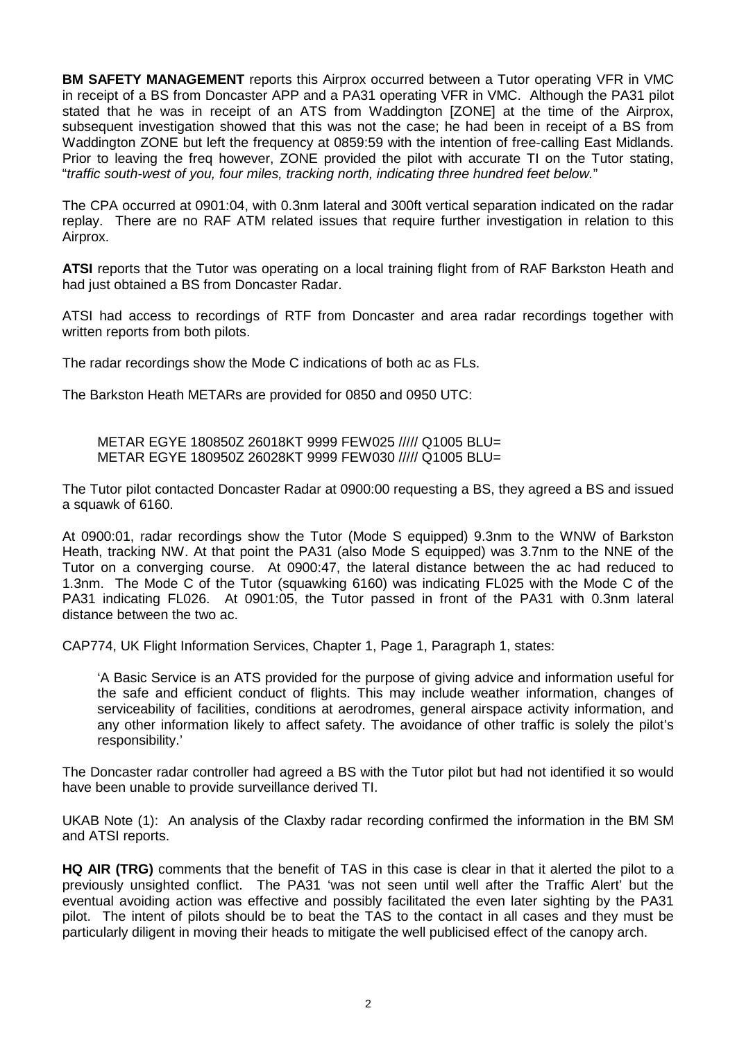**BM SAFETY MANAGEMENT** reports this Airprox occurred between a Tutor operating VFR in VMC in receipt of a BS from Doncaster APP and a PA31 operating VFR in VMC. Although the PA31 pilot stated that he was in receipt of an ATS from Waddington [ZONE] at the time of the Airprox, subsequent investigation showed that this was not the case; he had been in receipt of a BS from Waddington ZONE but left the frequency at 0859:59 with the intention of free-calling East Midlands. Prior to leaving the freq however, ZONE provided the pilot with accurate TI on the Tutor stating, "*traffic south-west of you, four miles, tracking north, indicating three hundred feet below.*"

The CPA occurred at 0901:04, with 0.3nm lateral and 300ft vertical separation indicated on the radar replay. There are no RAF ATM related issues that require further investigation in relation to this Airprox.

**ATSI** reports that the Tutor was operating on a local training flight from of RAF Barkston Heath and had just obtained a BS from Doncaster Radar.

ATSI had access to recordings of RTF from Doncaster and area radar recordings together with written reports from both pilots.

The radar recordings show the Mode C indications of both ac as FLs.

The Barkston Heath METARs are provided for 0850 and 0950 UTC:

METAR EGYE 180850Z 26018KT 9999 FEW025 ///// Q1005 BLU= METAR EGYE 180950Z 26028KT 9999 FEW030 ///// Q1005 BLU=

The Tutor pilot contacted Doncaster Radar at 0900:00 requesting a BS, they agreed a BS and issued a squawk of 6160.

At 0900:01, radar recordings show the Tutor (Mode S equipped) 9.3nm to the WNW of Barkston Heath, tracking NW. At that point the PA31 (also Mode S equipped) was 3.7nm to the NNE of the Tutor on a converging course. At 0900:47, the lateral distance between the ac had reduced to 1.3nm. The Mode C of the Tutor (squawking 6160) was indicating FL025 with the Mode C of the PA31 indicating FL026. At 0901:05, the Tutor passed in front of the PA31 with 0.3nm lateral distance between the two ac.

CAP774, UK Flight Information Services, Chapter 1, Page 1, Paragraph 1, states:

'A Basic Service is an ATS provided for the purpose of giving advice and information useful for the safe and efficient conduct of flights. This may include weather information, changes of serviceability of facilities, conditions at aerodromes, general airspace activity information, and any other information likely to affect safety. The avoidance of other traffic is solely the pilot's responsibility.'

The Doncaster radar controller had agreed a BS with the Tutor pilot but had not identified it so would have been unable to provide surveillance derived TI.

UKAB Note (1): An analysis of the Claxby radar recording confirmed the information in the BM SM and ATSI reports.

**HQ AIR (TRG)** comments that the benefit of TAS in this case is clear in that it alerted the pilot to a previously unsighted conflict. The PA31 'was not seen until well after the Traffic Alert' but the eventual avoiding action was effective and possibly facilitated the even later sighting by the PA31 pilot. The intent of pilots should be to beat the TAS to the contact in all cases and they must be particularly diligent in moving their heads to mitigate the well publicised effect of the canopy arch.